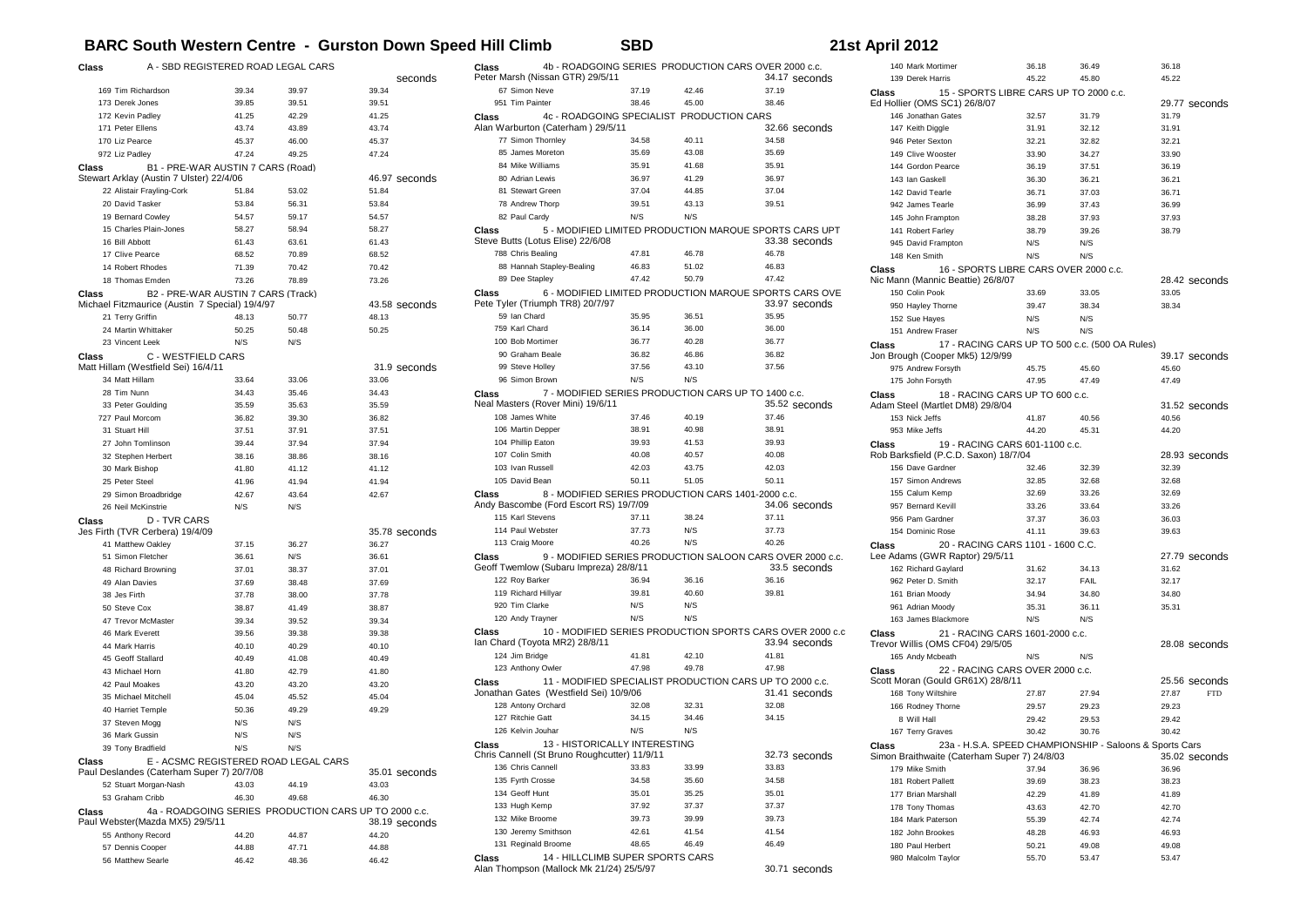## **BARC South Western Centre - Gurston Down Speed Hill Climb SBD 21st April 2012**

| Class                                                                                                              | A - SBD REGISTERED ROAD LEGAL CARS                                                   |                |                |                        |
|--------------------------------------------------------------------------------------------------------------------|--------------------------------------------------------------------------------------|----------------|----------------|------------------------|
|                                                                                                                    |                                                                                      |                |                | seconds                |
|                                                                                                                    | 169 Tim Richardson                                                                   | 39.34          | 39.97          | 39.34                  |
|                                                                                                                    | 173 Derek Jones                                                                      | 39.85          | 39.51          | 39.51                  |
|                                                                                                                    | 172 Kevin Padlev                                                                     | 41.25          | 42.29          | 41.25                  |
|                                                                                                                    | 171 Peter Ellens                                                                     | 43.74          | 43.89          | 43.74                  |
|                                                                                                                    | 170 Liz Pearce                                                                       | 45.37          | 46.00          | 45.37                  |
|                                                                                                                    | 972 Liz Padlev                                                                       | 47.24          | 49.25          | 47.24                  |
| Class                                                                                                              | B1 - PRE-WAR AUSTIN 7 CARS (Road)                                                    |                |                |                        |
|                                                                                                                    | Stewart Arklay (Austin 7 Ulster) 22/4/06                                             |                |                | 46.97 seconds<br>51.84 |
|                                                                                                                    | 22 Alistair Frayling-Cork                                                            | 51.84<br>53.84 | 53.02          |                        |
|                                                                                                                    | 20 David Tasker<br>19 Bernard Cowley                                                 | 54.57          | 56.31<br>59.17 | 53.84                  |
|                                                                                                                    | 15 Charles Plain-Jones                                                               | 58.27          | 58.94          | 54.57<br>58.27         |
|                                                                                                                    | 16 Bill Abbott                                                                       | 61.43          | 63.61          | 61.43                  |
|                                                                                                                    | 17 Clive Pearce                                                                      | 68.52          | 70.89          | 68.52                  |
|                                                                                                                    | 14 Robert Rhodes                                                                     | 71.39          |                |                        |
|                                                                                                                    | 18 Thomas Emden                                                                      |                | 70.42<br>78.89 | 70.42<br>73.26         |
|                                                                                                                    |                                                                                      | 73.26          |                |                        |
| Class                                                                                                              | B2 - PRE-WAR AUSTIN 7 CARS (Track)<br>Michael Fitzmaurice (Austin 7 Special) 19/4/97 |                |                | 43.58 seconds          |
|                                                                                                                    | 21 Terry Griffin                                                                     | 48.13          | 50.77          | 48.13                  |
|                                                                                                                    | 24 Martin Whittaker                                                                  | 50.25          | 50.48          | 50.25                  |
|                                                                                                                    | 23 Vincent Leek                                                                      | N/S            | N/S            |                        |
| Class                                                                                                              | C - WESTFIELD CARS                                                                   |                |                |                        |
|                                                                                                                    | Matt Hillam (Westfield Sei) 16/4/11                                                  |                |                | 31.9 seconds           |
|                                                                                                                    | 34 Matt Hillam                                                                       | 33.64          | 33.06          | 33.06                  |
|                                                                                                                    | 28 Tim Nunn                                                                          | 34.43          | 35.46          | 34.43                  |
|                                                                                                                    | 33 Peter Goulding                                                                    | 35.59          | 35.63          | 35.59                  |
|                                                                                                                    | 727 Paul Morcom                                                                      | 36.82          | 39.30          | 36.82                  |
|                                                                                                                    | 31 Stuart Hill                                                                       | 37.51          | 37.91          | 37.51                  |
|                                                                                                                    | 27 John Tomlinson                                                                    | 39.44          | 37.94          | 37.94                  |
|                                                                                                                    | 32 Stephen Herbert                                                                   | 38.16          | 38.86          | 38.16                  |
|                                                                                                                    | 30 Mark Bishop                                                                       | 41.80          | 41.12          | 41.12                  |
|                                                                                                                    | 25 Peter Steel                                                                       | 41.96          | 41.94          | 41.94                  |
|                                                                                                                    | 29 Simon Broadbridge                                                                 | 42.67          | 43.64          | 42.67                  |
|                                                                                                                    | 26 Neil McKinstrie                                                                   | N/S            | N/S            |                        |
| Class                                                                                                              | <b>D-TVR CARS</b>                                                                    |                |                |                        |
|                                                                                                                    | Jes Firth (TVR Cerbera) 19/4/09                                                      |                |                | 35.78 seconds          |
|                                                                                                                    | 41 Matthew Oakley                                                                    | 37.15          | 36.27          | 36.27                  |
|                                                                                                                    | 51 Simon Fletcher                                                                    | 36.61          | N/S            | 36.61                  |
|                                                                                                                    | 48 Richard Browning                                                                  | 37.01          | 38.37          | 37.01                  |
|                                                                                                                    | 49 Alan Davies                                                                       | 37.69          | 38.48          | 37.69                  |
|                                                                                                                    | 38 Jes Firth                                                                         | 37.78          | 38.00          | 37.78                  |
|                                                                                                                    | 50 Steve Cox                                                                         | 38.87          | 41.49          | 38.87                  |
|                                                                                                                    | 47 Trevor McMaster                                                                   | 39.34          | 39.52          | 39.34                  |
|                                                                                                                    | 46 Mark Everett                                                                      | 39.56          | 39.38          | 39.38                  |
|                                                                                                                    | 44 Mark Harris                                                                       | 40.10          | 40.29          | 40.10                  |
|                                                                                                                    | 45 Geoff Stallard                                                                    | 40.49          | 41.08          | 40.49                  |
|                                                                                                                    | 43 Michael Horn                                                                      | 41.80          | 42.79          | 41.80                  |
|                                                                                                                    | 42 Paul Moakes                                                                       | 43.20          | 43.20          | 43.20                  |
|                                                                                                                    | 35 Michael Mitchell                                                                  | 45.04          | 45.52          | 45.04                  |
|                                                                                                                    | 40 Harriet Temple                                                                    | 50.36          | 49.29          | 49.29                  |
|                                                                                                                    | 37 Steven Mogg                                                                       | N/S            | N/S            |                        |
|                                                                                                                    | 36 Mark Gussin                                                                       | N/S            | N/S            |                        |
|                                                                                                                    | 39 Tony Bradfield                                                                    | N/S            | N/S            |                        |
| E - ACSMC REGISTERED ROAD LEGAL CARS<br>Class<br>Paul Deslandes (Caterham Super 7) 20/7/08<br>35.01 seconds        |                                                                                      |                |                |                        |
|                                                                                                                    | 52 Stuart Morgan-Nash                                                                | 43.03          | 44.19          | 43.03                  |
|                                                                                                                    | 53 Graham Cribb                                                                      | 46.30          | 49.68          | 46.30                  |
| 4a - ROADGOING SERIES PRODUCTION CARS UP TO 2000 c.c.<br>Class<br>Paul Webster(Mazda MX5) 29/5/11<br>38.19 seconds |                                                                                      |                |                |                        |
|                                                                                                                    | 55 Anthony Record                                                                    | 44.20          | 44.87          | 44.20                  |
|                                                                                                                    | 57 Dennis Cooper                                                                     | 44.88          | 47.71          | 44.88                  |
|                                                                                                                    | 56 Matthew Searle                                                                    | 46.42          | 48.36          | 46.42                  |

| 67 Simon Neve<br>951 Tim Painter<br>Class<br>77 Simon Thornley<br>85 James Moreton<br>84 Mike Williams | Peter Marsh (Nissan GTR) 29/5/11<br>Alan Warburton (Caterham) 29/5/11 | 37.19<br>38.46<br>4c - ROADGOING SPECIALIST PRODUCTION CARS | 42.46<br>45.00 | 34.17 seconds<br>37.19<br>38.46                                            |
|--------------------------------------------------------------------------------------------------------|-----------------------------------------------------------------------|-------------------------------------------------------------|----------------|----------------------------------------------------------------------------|
|                                                                                                        |                                                                       |                                                             |                |                                                                            |
|                                                                                                        |                                                                       |                                                             |                |                                                                            |
|                                                                                                        |                                                                       |                                                             |                |                                                                            |
|                                                                                                        |                                                                       |                                                             |                | 32.66 seconds                                                              |
|                                                                                                        |                                                                       | 34.58                                                       | 40.11          | 34.58                                                                      |
|                                                                                                        |                                                                       | 35.69                                                       | 43.08          | 35.69                                                                      |
|                                                                                                        |                                                                       | 35.91                                                       | 41.68          | 35.91                                                                      |
| 80 Adrian Lewis                                                                                        |                                                                       | 36.97                                                       | 41.29          | 36.97                                                                      |
| 81 Stewart Green                                                                                       |                                                                       | 37.04                                                       | 44.85          | 37.04                                                                      |
| 78 Andrew Thorp                                                                                        |                                                                       | 39.51                                                       | 43.13          | 39.51                                                                      |
| 82 Paul Cardy                                                                                          |                                                                       | N/S                                                         | N/S            |                                                                            |
| Class                                                                                                  | Steve Butts (Lotus Elise) 22/6/08                                     |                                                             |                | 5 - MODIFIED LIMITED PRODUCTION MARQUE SPORTS CARS UPT<br>33.38 seconds    |
| 788 Chris Bealing                                                                                      |                                                                       | 47.81                                                       | 46.78          | 46.78                                                                      |
|                                                                                                        | 88 Hannah Stapley-Bealing                                             | 46.83                                                       | 51.02          | 46.83                                                                      |
| 89 Dee Stapley                                                                                         |                                                                       | 47.42                                                       | 50.79          | 47.42                                                                      |
| Class                                                                                                  | Pete Tyler (Triumph TR8) 20/7/97                                      |                                                             |                | 6 - MODIFIED LIMITED PRODUCTION MARQUE SPORTS CARS OVE<br>33.97 seconds    |
| 59 Ian Chard                                                                                           |                                                                       | 35.95                                                       | 36.51          | 35.95                                                                      |
| 759 Karl Chard                                                                                         |                                                                       | 36.14                                                       | 36.00          | 36.00                                                                      |
| 100 Bob Mortimer                                                                                       |                                                                       | 36.77                                                       | 40.28          | 36.77                                                                      |
| 90 Graham Beale                                                                                        |                                                                       | 36.82                                                       | 46.86          | 36.82                                                                      |
| 99 Steve Hollev                                                                                        |                                                                       | 37.56                                                       | 43.10          | 37.56                                                                      |
| 96 Simon Brown                                                                                         |                                                                       | N/S                                                         | N/S            |                                                                            |
| Class                                                                                                  |                                                                       |                                                             |                | 7 - MODIFIED SERIES PRODUCTION CARS UP TO 1400 c.c.                        |
|                                                                                                        | Neal Masters (Rover Mini) 19/6/11                                     |                                                             |                | 35.52 seconds                                                              |
| 108 James White                                                                                        |                                                                       | 37.46                                                       | 40.19          | 37.46                                                                      |
| 106 Martin Depper                                                                                      |                                                                       | 38.91                                                       | 40.98          | 38.91                                                                      |
| 104 Phillip Eaton                                                                                      |                                                                       | 39.93                                                       | 41.53          | 39.93                                                                      |
| 107 Colin Smith                                                                                        |                                                                       | 40.08                                                       | 40.57          | 40.08                                                                      |
| 103 Ivan Russell                                                                                       |                                                                       | 42.03                                                       | 43.75          | 42.03                                                                      |
| 105 David Bean                                                                                         |                                                                       | 50.11                                                       | 51.05          | 50.11                                                                      |
| Class                                                                                                  |                                                                       |                                                             |                | 8 - MODIFIED SERIES PRODUCTION CARS 1401-2000 c.c.                         |
|                                                                                                        | Andy Bascombe (Ford Escort RS) 19/7/09                                |                                                             |                | 34.06 seconds                                                              |
| 115 Karl Stevens                                                                                       |                                                                       | 37.11                                                       | 38.24          | 37.11                                                                      |
| 114 Paul Webster                                                                                       |                                                                       | 37.73                                                       | N/S            | 37.73                                                                      |
| 113 Craig Moore                                                                                        |                                                                       | 40.26                                                       | N/S            | 40.26                                                                      |
| <b>Class</b>                                                                                           | Geoff Twemlow (Subaru Impreza) 28/8/11                                |                                                             |                | 9 - MODIFIED SERIES PRODUCTION SALOON CARS OVER 2000 c.c.<br>33.5 seconds  |
| 122 Roy Barker                                                                                         |                                                                       | 36.94                                                       | 36.16          | 36.16                                                                      |
| 119 Richard Hillyar                                                                                    |                                                                       | 39.81                                                       | 40.60          | 39.81                                                                      |
| 920 Tim Clarke                                                                                         |                                                                       | N/S<br>N/S                                                  | N/S<br>N/S     |                                                                            |
| 120 Andy Trayner                                                                                       |                                                                       |                                                             |                |                                                                            |
| Class                                                                                                  | Ian Chard (Toyota MR2) 28/8/11                                        |                                                             |                | 10 - MODIFIED SERIES PRODUCTION SPORTS CARS OVER 2000 c.c<br>33.94 seconds |
| 124 Jim Bridge                                                                                         |                                                                       | 41.81                                                       | 42.10          | 41.81                                                                      |
| 123 Anthony Owler                                                                                      |                                                                       | 47.98                                                       | 49.78          | 47.98                                                                      |
| Class                                                                                                  | Jonathan Gates (Westfield Sei) 10/9/06                                |                                                             |                | 11 - MODIFIED SPECIALIST PRODUCTION CARS UP TO 2000 c.c.<br>31.41 seconds  |
| 128 Antony Orchard<br>127 Ritchie Gatt                                                                 |                                                                       | 32.08<br>34.15                                              | 32.31<br>34.46 | 32.08<br>34.15                                                             |
| 126 Kelvin Jouhar                                                                                      |                                                                       |                                                             |                |                                                                            |
|                                                                                                        |                                                                       | N/S                                                         | N/S            |                                                                            |
| Class                                                                                                  | Chris Cannell (St Bruno Roughcutter) 11/9/11                          | 13 - HISTORICALLY INTERESTING                               |                | 32.73 seconds                                                              |
| 136 Chris Cannell                                                                                      |                                                                       | 33.83                                                       | 33.99          | 33.83                                                                      |
| 135 Fyrth Crosse                                                                                       |                                                                       | 34.58                                                       | 35.60          | 34.58                                                                      |
| 134 Geoff Hunt                                                                                         |                                                                       | 35.01                                                       | 35.25          | 35.01                                                                      |
| 133 Hugh Kemp                                                                                          |                                                                       | 37.92                                                       | 37.37          | 37.37                                                                      |
| 132 Mike Broome                                                                                        |                                                                       | 39.73                                                       | 39.99          | 39.73                                                                      |
| 130 Jeremy Smithson                                                                                    |                                                                       | 42.61                                                       | 41.54          | 41.54                                                                      |
| 131 Reginald Broome                                                                                    |                                                                       | 48.65                                                       | 46.49          | 46.49                                                                      |
| Class                                                                                                  | Alan Thompson (Mallock Mk 21/24) 25/5/97                              | 14 - HILLCLIMB SUPER SPORTS CARS                            |                | 30.71 seconds                                                              |

| 140 Mark Mortimer                                     |                                        | 36.18          | 36.49                                                   | 36.18          |               |
|-------------------------------------------------------|----------------------------------------|----------------|---------------------------------------------------------|----------------|---------------|
| 139 Derek Harris                                      |                                        | 45.22          | 45.80                                                   | 45.22          |               |
| Class                                                 | 15 - SPORTS LIBRE CARS UP TO 2000 c.c. |                |                                                         |                |               |
| Ed Hollier (OMS SC1) 26/8/07                          |                                        |                |                                                         |                | 29.77 seconds |
| 146 Jonathan Gates                                    |                                        | 32.57          | 31.79                                                   | 31.79          |               |
| 147 Keith Diggle                                      |                                        | 31.91          | 32.12                                                   | 31.91          |               |
| 946 Peter Sexton                                      |                                        | 32.21          | 32.82                                                   | 32.21          |               |
| 149 Clive Wooster                                     |                                        | 33.90          | 34.27                                                   | 33.90          |               |
| 144 Gordon Pearce                                     |                                        | 36.19          | 37.51                                                   | 36.19          |               |
| 143 Ian Gaskell                                       |                                        | 36.30          | 36.21                                                   | 36.21          |               |
| 142 David Tearle                                      |                                        | 36.71          | 37.03                                                   | 36.71          |               |
| 942 James Tearle                                      |                                        | 36.99          | 37.43                                                   | 36.99          |               |
| 145 John Frampton                                     |                                        | 38.28          | 37.93                                                   | 37.93          |               |
| 141 Robert Farley                                     |                                        | 38.79          | 39.26                                                   | 38.79          |               |
|                                                       |                                        |                |                                                         |                |               |
| 945 David Frampton                                    |                                        | N/S            | N/S                                                     |                |               |
| 148 Ken Smith                                         |                                        | N/S            | N/S                                                     |                |               |
| Class                                                 | 16 - SPORTS LIBRE CARS OVER 2000 c.c.  |                |                                                         |                |               |
| Nic Mann (Mannic Beattie) 26/8/07                     |                                        |                |                                                         |                | 28.42 seconds |
| 150 Colin Pook                                        |                                        | 33.69          | 33.05                                                   | 33.05          |               |
| 950 Hayley Thorne                                     |                                        | 39.47          | 38.34                                                   | 38.34          |               |
| 152 Sue Hayes                                         |                                        | N/S            | N/S                                                     |                |               |
| 151 Andrew Fraser                                     |                                        | N/S            | N/S                                                     |                |               |
| Class                                                 |                                        |                | 17 - RACING CARS UP TO 500 c.c. (500 OA Rules)          |                |               |
| Jon Brough (Cooper Mk5) 12/9/99                       |                                        |                |                                                         |                | 39.17 seconds |
| 975 Andrew Forsyth                                    |                                        | 45.75          | 45.60                                                   | 45.60          |               |
| 175 John Forsyth                                      |                                        | 47.95          | 47.49                                                   | 47.49          |               |
| Class                                                 | 18 - RACING CARS UP TO 600 c.c.        |                |                                                         |                |               |
| Adam Steel (Martlet DM8) 29/8/04                      |                                        |                |                                                         |                | 31.52 seconds |
| 153 Nick Jeffs                                        |                                        | 41.87          | 40.56                                                   | 40.56          |               |
| 953 Mike Jeffs                                        |                                        | 44.20          | 45.31                                                   | 44.20          |               |
| Class                                                 | 19 - RACING CARS 601-1100 c.c.         |                |                                                         |                |               |
| Rob Barksfield (P.C.D. Saxon) 18/7/04                 |                                        |                |                                                         |                | 28.93 seconds |
| 156 Dave Gardner                                      |                                        | 32.46          | 32.39                                                   | 32.39          |               |
| 157 Simon Andrews                                     |                                        | 32.85          | 32.68                                                   | 32.68          |               |
| 155 Calum Kemp                                        |                                        | 32.69          | 33.26                                                   | 32.69          |               |
| 957 Bernard Kevill                                    |                                        | 33.26          | 33.64                                                   | 33.26          |               |
|                                                       |                                        |                |                                                         |                |               |
| 956 Pam Gardner                                       |                                        | 37.37          | 36.03                                                   | 36.03          |               |
| 154 Dominic Rose                                      |                                        | 41.11          | 39.63                                                   | 39.63          |               |
| Class                                                 | 20 - RACING CARS 1101 - 1600 C.C.      |                |                                                         |                |               |
| Lee Adams (GWR Raptor) 29/5/11                        |                                        |                |                                                         |                | 27.79 seconds |
| 162 Richard Gaylard                                   |                                        | 31.62          | 34.13                                                   | 31.62          |               |
| 962 Peter D. Smith                                    |                                        | 32.17          | FAIL                                                    | 32.17          |               |
| 161 Brian Moody                                       |                                        | 34.94          | 34.80                                                   | 34.80          |               |
| 961 Adrian Moody                                      |                                        | 35.31          | 36.11                                                   | 35.31          |               |
| 163 James Blackmore                                   |                                        | N/S            | N/S                                                     |                |               |
| Class                                                 | 21 - RACING CARS 1601-2000 c.c.        |                |                                                         |                |               |
| Trevor Willis (OMS CF04) 29/5/05                      |                                        |                |                                                         |                | 28.08 seconds |
| 165 Andy Mcbeath                                      |                                        |                |                                                         |                |               |
| Class                                                 |                                        | N/S            | N/S                                                     |                |               |
| Scott Moran (Gould GR61X) 28/8/11                     |                                        |                |                                                         |                |               |
|                                                       | 22 - RACING CARS OVER 2000 c.c.        |                |                                                         |                |               |
|                                                       |                                        |                |                                                         | 27.87          | 25.56 seconds |
| 168 Tony Wiltshire                                    |                                        | 27.87          | 27.94                                                   |                | <b>FTD</b>    |
| 166 Rodney Thorne                                     |                                        | 29.57          | 29.23                                                   | 29.23          |               |
| 8 Will Hall                                           |                                        | 29.42          | 29.53                                                   | 29.42          |               |
| 167 Terry Graves                                      |                                        | 30.42          | 30.76                                                   | 30.42          |               |
| Class<br>Simon Braithwaite (Caterham Super 7) 24/8/03 |                                        |                | 23a - H.S.A. SPEED CHAMPIONSHIP - Saloons & Sports Cars |                | 35.02 seconds |
| 179 Mike Smith                                        |                                        | 37.94          | 36.96                                                   | 36.96          |               |
| 181 Robert Pallett                                    |                                        | 39.69          | 38.23                                                   | 38.23          |               |
| 177 Brian Marshall                                    |                                        | 42.29          | 41.89                                                   | 41.89          |               |
| 178 Tony Thomas                                       |                                        | 43.63          | 42.70                                                   | 42.70          |               |
| 184 Mark Paterson                                     |                                        | 55.39          | 42.74                                                   | 42.74          |               |
| 182 John Brookes                                      |                                        | 48.28          | 46.93                                                   | 46.93          |               |
|                                                       |                                        |                |                                                         |                |               |
| 180 Paul Herbert<br>980 Malcolm Taylor                |                                        | 50.21<br>55.70 | 49.08<br>53.47                                          | 49.08<br>53.47 |               |